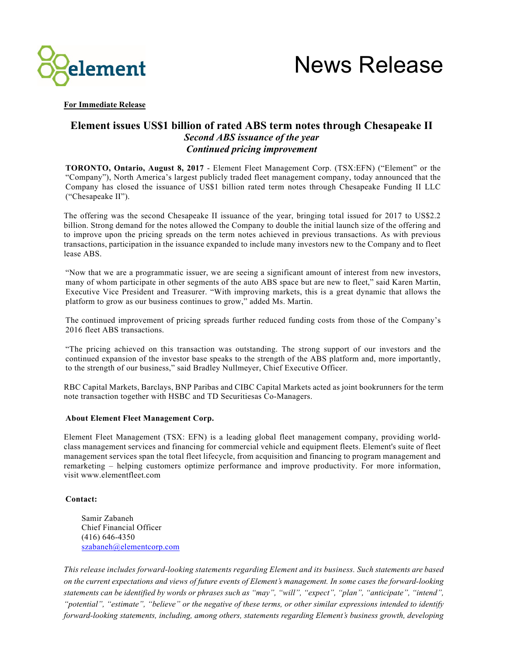



**For Immediate Release**

## **Element issues US\$1 billion of rated ABS term notes through Chesapeake II** *Second ABS issuance of the year Continued pricing improvement*

**TORONTO, Ontario, August 8, 2017** - Element Fleet Management Corp. (TSX:EFN) ("Element" or the "Company"), North America's largest publicly traded fleet management company, today announced that the Company has closed the issuance of US\$1 billion rated term notes through Chesapeake Funding II LLC ("Chesapeake II").

The offering was the second Chesapeake II issuance of the year, bringing total issued for 2017 to US\$2.2 billion. Strong demand for the notes allowed the Company to double the initial launch size of the offering and to improve upon the pricing spreads on the term notes achieved in previous transactions. As with previous transactions, participation in the issuance expanded to include many investors new to the Company and to fleet lease ABS.

"Now that we are a programmatic issuer, we are seeing a significant amount of interest from new investors, many of whom participate in other segments of the auto ABS space but are new to fleet," said Karen Martin, Executive Vice President and Treasurer. "With improving markets, this is a great dynamic that allows the platform to grow as our business continues to grow," added Ms. Martin.

The continued improvement of pricing spreads further reduced funding costs from those of the Company's 2016 fleet ABS transactions.

"The pricing achieved on this transaction was outstanding. The strong support of our investors and the continued expansion of the investor base speaks to the strength of the ABS platform and, more importantly, to the strength of our business," said Bradley Nullmeyer, Chief Executive Officer.

RBC Capital Markets, Barclays, BNP Paribas and CIBC Capital Markets acted as joint bookrunners for the term note transaction together with HSBC and TD Securitiesas Co-Managers.

## **About Element Fleet Management Corp.**

Element Fleet Management (TSX: EFN) is a leading global fleet management company, providing worldclass management services and financing for commercial vehicle and equipment fleets. Element's suite of fleet management services span the total fleet lifecycle, from acquisition and financing to program management and remarketing – helping customers optimize performance and improve productivity. For more information, visit www.elementfleet.com

## **Contact:**

Samir Zabaneh Chief Financial Officer (416) 646-4350 szabaneh@elementcorp.com

*This release includes forward-looking statements regarding Element and its business. Such statements are based on the current expectations and views of future events of Element's management. In some cases the forward-looking statements can be identified by words or phrases such as "may", "will", "expect", "plan", "anticipate", "intend", "potential", "estimate", "believe" or the negative of these terms, or other similar expressions intended to identify forward-looking statements, including, among others, statements regarding Element's business growth, developing*